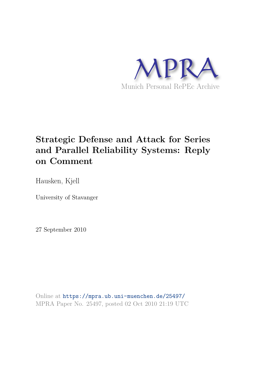

# **Strategic Defense and Attack for Series and Parallel Reliability Systems: Reply on Comment**

Hausken, Kjell

University of Stavanger

27 September 2010

Online at https://mpra.ub.uni-muenchen.de/25497/ MPRA Paper No. 25497, posted 02 Oct 2010 21:19 UTC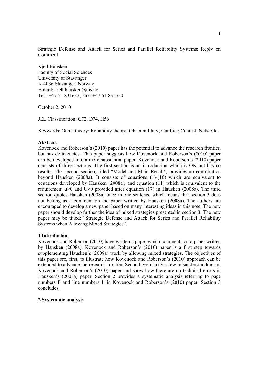Strategic Defense and Attack for Series and Parallel Reliability Systems: Reply on Comment

Kjell Hausken Faculty of Social Sciences University of Stavanger N-4036 Stavanger, Norway E-mail: kjell.hausken@uis.no Tel.: +47 51 831632, Fax: +47 51 831550

October 2, 2010

JEL Classification: C72, D74, H56

Keywords: Game theory; Reliability theory; OR in military; Conflict; Contest; Network.

## **Abstract**

Kovenock and Roberson's (2010) paper has the potential to advance the research frontier, but has deficiencies. This paper suggests how Kovenock and Roberson's (2010) paper can be developed into a more substantial paper. Kovenock and Roberson's (2010) paper consists of three sections. The first section is an introduction which is OK but has no results. The second section, titled "Model and Main Result", provides no contribution beyond Hausken (2008a). It consists of equations (1)-(10) which are equivalent to equations developed by Hausken (2008a), and equation (11) which is equivalent to the requirement u≥0 and U≥0 provided after equation (17) in Hausken (2008a). The third section quotes Hausken (2008a) once in one sentence which means that section 3 does not belong as a comment on the paper written by Hausken (2008a). The authors are encouraged to develop a new paper based on many interesting ideas in this note. The new paper should develop further the idea of mixed strategies presented in section 3. The new paper may be titled: "Strategic Defense and Attack for Series and Parallel Reliability Systems when Allowing Mixed Strategies".

### **1 Introduction**

Kovenock and Roberson (2010) have written a paper which comments on a paper written by Hausken (2008a). Kovenock and Roberson's (2010) paper is a first step towards supplementing Hausken's (2008a) work by allowing mixed strategies. The objectives of this paper are, first, to illustrate how Kovenock and Roberson's (2010) approach can be extended to advance the research frontier. Second, we clarify a few misunderstandings in Kovenock and Roberson's (2010) paper and show how there are no technical errors in Hausken's (2008a) paper. Section 2 provides a systematic analysis referring to page numbers P and line numbers L in Kovenock and Roberson's (2010) paper. Section 3 concludes.

### **2 Systematic analysis**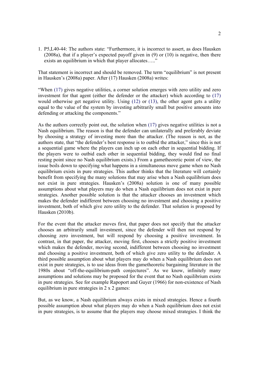1. P5,L40-44: The authors state: "Furthermore, it is incorrect to assert, as does Hausken (2008a), that if a player's expected payoff given in (9) or (10) is negative, then there exists an equilibrium in which that player allocates….."

That statement is incorrect and should be removed. The term "equilibrium" is not present in Hausken's (2008a) paper. After (17) Hausken (2008a) writes:

"When (17) gives negative utilities, a corner solution emerges with zero utility and zero investment for that agent (either the defender or the attacker) which according to (17) would otherwise get negative utility. Using (12) or (13), the other agent gets a utility equal to the value of the system by investing arbitrarily small but positive amounts into defending or attacking the components."

As the authors correctly point out, the solution when (17) gives negative utilities is not a Nash equilibrium. The reason is that the defender can unilaterally and preferably deviate by choosing a strategy of investing more than the attacker. (The reason is not, as the authors state, that "the defender's best response is to outbid the attacker," since this is not a sequential game where the players can inch up on each other in sequential bidding. If the players were to outbid each other in sequential bidding, they would find no final resting point since no Nash equilibrium exists.) From a gametheoretic point of view, the issue boils down to specifying what happens in a simultaneous move game when no Nash equilibrium exists in pure strategies. This author thinks that the literature will certainly benefit from specifying the many solutions that may arise when a Nash equilibrium does not exist in pure strategies. Hausken's (2008a) solution is one of many possible assumptions about what players may do when a Nash equilibrium does not exist in pure strategies. Another possible solution is that the attacker chooses an investment which makes the defender indifferent between choosing no investment and choosing a positive investment, both of which give zero utility to the defender. That solution is proposed by Hausken (2010b).

For the event that the attacker moves first, that paper does not specify that the attacker chooses an arbitrarily small investment, since the defender will then not respond by choosing zero investment, but will respond by choosing a positive investment. In contrast, in that paper, the attacker, moving first, chooses a strictly positive investment which makes the defender, moving second, indifferent between choosing no investment and choosing a positive investment, both of which give zero utility to the defender. A third possible assumption about what players may do when a Nash equilibrium does not exist in pure strategies, is to use ideas from the gametheoretic bargaining literature in the 1980s about "off-the-equilibrium-path conjectures". As we know, infinitely many assumptions and solutions may be proposed for the event that no Nash equilibrium exists in pure strategies. See for example Rapoport and Guyer (1966) for non-existence of Nash equilibrium in pure strategies in 2 x 2 games:

But, as we know, a Nash equilibrium always exists in mixed strategies. Hence a fourth possible assumption about what players may do when a Nash equilibrium does not exist in pure strategies, is to assume that the players may choose mixed strategies. I think the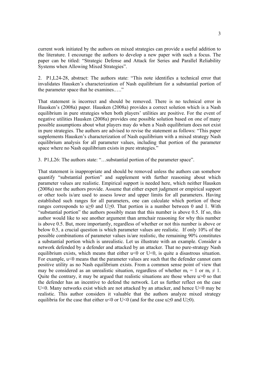current work initiated by the authors on mixed strategies can provide a useful addition to the literature. I encourage the authors to develop a new paper with such a focus. The paper can be titled: "Strategic Defense and Attack for Series and Parallel Reliability Systems when Allowing Mixed Strategies".

2. P1,L24-28, abstract: The authors state: "This note identifies a technical error that invalidates Hausken's characterization of Nash equilibrium for a substantial portion of the parameter space that he examines.…."

That statement is incorrect and should be removed. There is no technical error in Hausken's (2008a) paper. Hausken (2008a) provides a correct solution which is a Nash equilibrium in pure strategies when both players' utilities are positive. For the event of negative utilities Hausken (2008a) provides one possible solution based on one of many possible assumptions about what players may do when a Nash equilibrium does not exist in pure strategies. The authors are advised to revise the statement as follows: "This paper supplements Hausken's characterization of Nash equilibrium with a mixed strategy Nash equilibrium analysis for all parameter values, including that portion of the parameter space where no Nash equilibrium exists in pure strategies."

3. P1,L26: The authors state: "…substantial portion of the parameter space".

That statement is inappropriate and should be removed unless the authors can somehow quantify "substantial portion" and supplement with further reasoning about which parameter values are realistic. Empirical support is needed here, which neither Hausken (2008a) nor the authors provide. Assume that either expert judgment or empirical support or other tools is/are used to assess lower and upper limits for all parameters. Having established such ranges for all parameters, one can calculate which portion of these ranges corresponds to u $\geq 0$  and U $\geq 0$ . That portion is a number between 0 and 1. With "substantial portion" the authors possibly mean that this number is above 0.5. If so, this author would like to see another argument than armchair reasoning for why this number is above 0.5. But, more importantly, regardless of whether or not this number is above or below 0.5, a crucial question is which parameter values are realistic. If only 10% of the possible combinations of parameter values is/are realistic, the remaining 90% constitutes a substantial portion which is unrealistic. Let us illustrate with an example. Consider a network defended by a defender and attacked by an attacker. That no pure-strategy Nash equilibrium exists, which means that either  $u \le 0$  or  $U \le 0$ , is quite a disastrous situation. For example,  $u<0$  means that the parameter values are such that the defender cannot earn positive utility as no Nash equilibrium exists. From a common sense point of view that may be considered as an unrealistic situation, regardless of whether  $m_i = 1$  or  $m_i \neq 1$ . Quite the contrary, it may be argued that realistic situations are those where  $u>0$  so that the defender has an incentive to defend the network. Let us further reflect on the case U<0. Many networks exist which are not attacked by an attacker, and hence U<0 may be realistic. This author considers it valuable that the authors analyze mixed strategy equilibria for the case that either u<0 or U<0 (and for the case u $\geq$ 0 and U $\geq$ 0).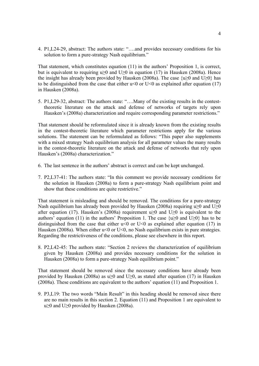4. P1,L24-29, abstract: The authors state: "….and provides necessary conditions for his solution to form a pure-strategy Nash equilibrium."

That statement, which constitutes equation (11) in the authors' Proposition 1, is correct, but is equivalent to requiring u≥0 and U≥0 in equation (17) in Hausken (2008a). Hence the insight has already been provided by Hausken (2008a). The case  $\{u\geq 0\}$  and  $U\geq 0\}$  has to be distinguished from the case that either  $u \le 0$  or  $U \le 0$  as explained after equation (17) in Hausken (2008a).

5. P1,L29-32, abstract: The authors state: "….Many of the existing results in the contesttheoretic literature on the attack and defense of networks of targets rely upon Hausken's (2008a) characterization and require corresponding parameter restrictions."

That statement should be reformulated since it is already known from the existing results in the contest-theoretic literature which parameter restrictions apply for the various solutions. The statement can be reformulated as follows: "This paper also supplements with a mixed strategy Nash equilibrium analysis for all parameter values the many results in the contest-theoretic literature on the attack and defense of networks that rely upon Hausken's (2008a) characterization."

- 6. The last sentence in the authors' abstract is correct and can be kept unchanged.
- 7. P2,L37-41: The authors state: "In this comment we provide necessary conditions for the solution in Hausken (2008a) to form a pure-strategy Nash equilibrium point and show that these conditions are quite restrictive."

That statement is misleading and should be removed. The conditions for a pure-strategy Nash equilibrium has already been provided by Hausken (2008a) requiring u $\geq 0$  and U $\geq 0$ after equation (17). Hausken's (2008a) requirement u≥0 and U≥0 is equivalent to the authors' equation (11) in the authors' Proposition 1. The case  $\{u\geq 0\}$  and U $\geq 0$ } has to be distinguished from the case that either  $u<0$  or U<0 as explained after equation (17) in Hausken (2008a). When either  $u<0$  or U $<0$ , no Nash equilibrium exists in pure strategies. Regarding the restrictiveness of the conditions, please see elsewhere in this report.

8. P2,L42-45: The authors state: "Section 2 reviews the characterization of equilibrium given by Hausken (2008a) and provides necessary conditions for the solution in Hausken (2008a) to form a pure-strategy Nash equilibrium point."

That statement should be removed since the necessary conditions have already been provided by Hausken (2008a) as u $\geq$ 0 and U $\geq$ 0, as stated after equation (17) in Hausken (2008a). These conditions are equivalent to the authors' equation (11) and Proposition 1.

9. P3,L19: The two words "Main Result" in this heading should be removed since there are no main results in this section 2. Equation (11) and Proposition 1 are equivalent to u≥0 and U≥0 provided by Hausken (2008a).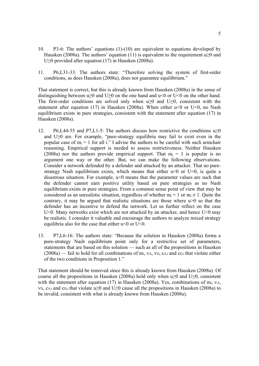- 10. P3-6: The authors' equations (1)-(10) are equivalent to equations developed by Hausken (2008a). The authors' equation (11) is equivalent to the requirement u $\geq 0$  and U≥0 provided after equation (17) in Hausken (2008a).
- 11. P6,L31-33: The authors state: "Therefore solving the system of first-order conditions, as does Hausken (2008a), does not guarantee equilibrium."

That statement is correct, but this is already known from Hausken (2008a) in the sense of distinguishing between u $\geq 0$  and U $\geq 0$  on the one hand and u<0 or U<0 on the other hand. The first-order conditions are solved only when u≥0 and U≥0, consistent with the statement after equation (17) in Hausken (2008a). When either  $u < 0$  or U $< 0$ , no Nash equilibrium exists in pure strategies, consistent with the statement after equation (17) in Hausken (2008a).

- 12. P6,L44-55 and P7,L1-5: The authors discuss how restrictive the conditions  $u \ge 0$ and U≥0 are. For example, "pure-strategy equilibria may fail to exist even in the popular case of  $m_i = 1$  for all i." I advise the authors to be careful with such armchair reasoning. Empirical support is needed to assess restrictiveness. Neither Hausken (2008a) nor the authors provide empirical support. That  $m_i = 1$  is popular is no argument one way or the other. But, we can make the following observations. Consider a network defended by a defender and attacked by an attacker. That no purestrategy Nash equilibrium exists, which means that either  $u \le 0$  or  $U \le 0$ , is quite a disastrous situation. For example, u<0 means that the parameter values are such that the defender cannot earn positive utility based on pure strategies as no Nash equilibrium exists in pure strategies. From a common sense point of view that may be considered as an unrealistic situation, regardless of whether  $m_i = 1$  or  $m_i \neq 1$ . Ouite the contrary, it may be argued that realistic situations are those where  $u>0$  so that the defender has an incentive to defend the network. Let us further reflect on the case U<0. Many networks exist which are not attacked by an attacker, and hence U $\leq$ 0 may be realistic. I consider it valuable and encourage the authors to analyze mixed strategy equilibria also for the case that either  $u<0$  or U<0.
- 13. P7,L6-16: The authors state: "Because the solution in Hausken (2008a) forms a pure-strategy Nash equilibrium point only for a restrictive set of parameters, statements that are based on this solution — such as all of the propositions in Hausken  $(2008a)$  — fail to hold for all combinations of mi, vA, vD, cA,i and cD,i that violate either of the two conditions in Proposition 1."

That statement should be removed since this is already known from Hausken (2008a). Of course all the propositions in Hausken (2008a) hold only when u $\geq 0$  and U $\geq 0$ , consistent with the statement after equation (17) in Hausken (2008a). Yes, combinations of mi, vA, v<sub>D</sub>, c<sub>A,i</sub> and c<sub>D,i</sub> that violate u>0 and U>0 cause all the propositions in Hausken (2008a) to be invalid, consistent with what is already known from Hausken (2008a).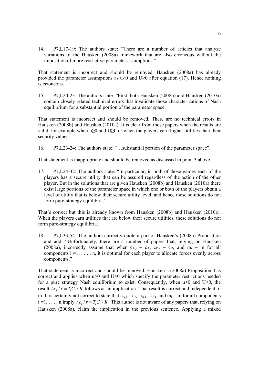14. P7,L17-19: The authors state: "There are a number of articles that analyze variations of the Hausken (2008a) framework that are also erroneous without the imposition of more restrictive parameter assumptions."

That statement is incorrect and should be removed. Hausken (2008a) has already provided the parameter assumptions as u $\geq 0$  and U $\geq 0$  after equation (17). Hence nothing is erroneous.

15. P7,L20-23: The authors state: "First, both Hausken (2008b) and Hausken (2010a) contain closely related technical errors that invalidate those characterizations of Nash equilibrium for a substantial portion of the parameter space.

That statement is incorrect and should be removed. There are no technical errors in Hausken (2008b) and Hausken (2010a). It is clear from those papers when the results are valid, for example when  $u \ge 0$  and  $U \ge 0$  or when the players earn higher utilities than their security values.

16. P7,L23-24: The authors state: "…substantial portion of the parameter space".

That statement is inappropriate and should be removed as discussed in point 3 above.

17. P7,L24-32: The authors state: "In particular, in both of those games each of the players has a secure utility that can be assured regardless of the action of the other player. But in the solutions that are given Hausken (2008b) and Hausken (2010a) there exist large portions of the parameter space in which one or both of the players obtain a level of utility that is below their secure utility level, and hence these solutions do not form pure-strategy equilibria."

That's correct but this is already known from Hausken (2008b) and Hausken (2010a). When the players earn utilities that are below their secure utilities, these solutions do not form pure-strategy equilibria.

18. P7,L33-54: The authors correctly quote a part of Hausken's (2008a) Proposition and add: "Unfortunately, there are a number of papers that, relying on Hausken (2008a), incorrectly assume that when  $c_{A,i} = c_A$ ,  $c_{D,i} = c_D$ , and  $m_i = m$  for all components  $i = 1, \ldots, n$ , it is optimal for each player to allocate forces evenly across components."

That statement is incorrect and should be removed. Hausken's (2008a) Proposition 1 is correct and applies when u≥0 and U≥0 which specify the parameter restrictions needed for a pure strategy Nash equilibrium to exist. Consequently, when  $u \ge 0$  and  $U \ge 0$ , the result  $t_i c_i / r = T_i C_i / R$  follows as an implication. That result is correct and independent of m. It is certainly not correct to state that  $c_{A,i} = c_A$ ,  $c_{D,i} = c_D$ , and  $m_i = m$  for all components  $i = 1, \ldots, n$  imply  $t_i c_i / r = T_i C_i / R$ . This author is not aware of any papers that, relying on Hausken (2008a), claim the implication in the previous sentence. Applying a mixed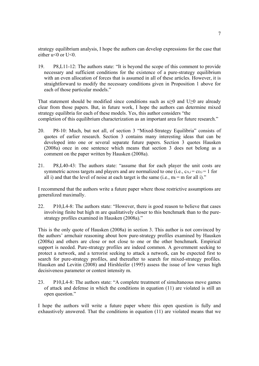strategy equilibrium analysis, I hope the authors can develop expressions for the case that either  $u \le 0$  or U $\le 0$ .

19. P8,L11-12: The authors state: "It is beyond the scope of this comment to provide necessary and sufficient conditions for the existence of a pure-strategy equilibrium with an even allocation of forces that is assumed in all of these articles. However, it is straightforward to modify the necessary conditions given in Proposition 1 above for each of those particular models."

That statement should be modified since conditions such as  $u>0$  and  $U>0$  are already clear from those papers. But, in future work, I hope the authors can determine mixed strategy equilibria for each of these models. Yes, this author considers "the completion of this equilibrium characterization as an important area for future research."

- 20. P8-10: Much, but not all, of section 3 "Mixed-Strategy Equilibria" consists of quotes of earlier research. Section 3 contains many interesting ideas that can be developed into one or several separate future papers. Section 3 quotes Hausken (2008a) once in one sentence which means that section 3 does not belong as a comment on the paper written by Hausken (2008a).
- 21. P8,L40-43: The authors state: "assume that for each player the unit costs are symmetric across targets and players and are normalized to one (i.e.,  $ca_i = c_i = 1$  for all i) and that the level of noise at each target is the same (i.e.,  $m_i = m$  for all i)."

I recommend that the authors write a future paper where those restrictive assumptions are generalized maximally.

22. P10,L4-8: The authors state: "However, there is good reason to believe that cases involving finite but high m are qualitatively closer to this benchmark than to the purestrategy profiles examined in Hausken (2008a)."

This is the only quote of Hausken (2008a) in section 3. This author is not convinced by the authors' armchair reasoning about how pure-strategy profiles examined by Hausken (2008a) and others are close or not close to one or the other benchmark. Empirical support is needed. Pure-strategy profiles are indeed common. A government seeking to protect a network, and a terrorist seeking to attack a network, can be expected first to search for pure-strategy profiles, and thereafter to search for mixed-strategy profiles. Hausken and Levitin (2008) and Hirshleifer (1995) assess the issue of low versus high decisiveness parameter or contest intensity m.

23. P10,L4-8: The authors state: "A complete treatment of simultaneous move games of attack and defense in which the conditions in equation (11) are violated is still an open question."

I hope the authors will write a future paper where this open question is fully and exhaustively answered. That the conditions in equation (11) are violated means that we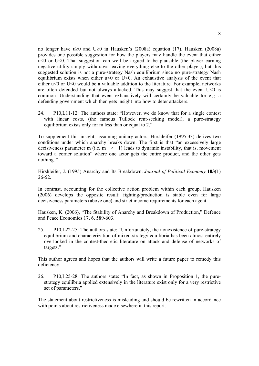no longer have u≥0 and U≥0 in Hausken's (2008a) equation (17). Hausken (2008a) provides one possible suggestion for how the players may handle the event that either  $u \leq 0$  or U $\leq 0$ . That suggestion can well be argued to be plausible (the player earning negative utility simply withdraws leaving everything else to the other player), but this suggested solution is not a pure-strategy Nash equilibrium since no pure-strategy Nash equilibrium exists when either  $u<0$  or U $<0$ . An exhaustive analysis of the event that either u<0 or U<0 would be a valuable addition to the literature. For example, networks are often defended but not always attacked. This may suggest that the event  $U \le 0$  is common. Understanding that event exhaustively will certainly be valuable for e.g. a defending government which then gets insight into how to deter attackers.

24. P10,L11-12: The authors state: "However, we do know that for a single contest with linear costs, (the famous Tullock rent-seeking model), a pure-strategy equilibrium exists only for m less than or equal to 2."

To supplement this insight, assuming unitary actors, Hirshleifer (1995:33) derives two conditions under which anarchy breaks down. The first is that "an excessively large decisiveness parameter m (i.e.  $m > 1$ ) leads to dynamic instability, that is, movement toward a corner solution" where one actor gets the entire product, and the other gets nothing "

Hirshleifer, J. (1995) Anarchy and Its Breakdown. *Journal of Political Economy* **103**(1) 26-52.

In contrast, accounting for the collective action problem within each group, Hausken (2006) develops the opposite result: fighting/production is stable even for large decisiveness parameters (above one) and strict income requirements for each agent.

Hausken, K. (2006), "The Stability of Anarchy and Breakdown of Production," Defence and Peace Economics 17, 6, 589-603.

25. P10,L22-25: The authors state: "Unfortunately, the nonexistence of pure-strategy equilibrium and characterization of mixed-strategy equilibria has been almost entirely overlooked in the contest-theoretic literature on attack and defense of networks of targets."

This author agrees and hopes that the authors will write a future paper to remedy this deficiency.

26. P10,L25-28: The authors state: "In fact, as shown in Proposition 1, the purestrategy equilibria applied extensively in the literature exist only for a very restrictive set of parameters."

The statement about restrictiveness is misleading and should be rewritten in accordance with points about restrictiveness made elsewhere in this report.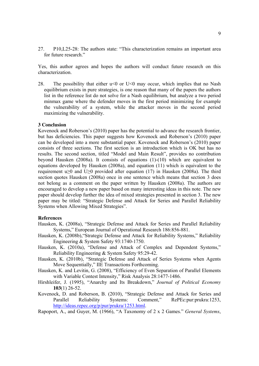27. P10,L25-28: The authors state: "This characterization remains an important area for future research."

Yes, this author agrees and hopes the authors will conduct future research on this characterization.

28. The possibility that either  $u \le 0$  or U $\le 0$  may occur, which implies that no Nash equilibrium exists in pure strategies, is one reason that many of the papers the authors list in the reference list do not solve for a Nash equilibrium, but analyze a two period minmax game where the defender moves in the first period minimizing for example the vulnerability of a system, while the attacker moves in the second period maximizing the vulnerability.

#### **3 Conclusion**

Kovenock and Roberson's (2010) paper has the potential to advance the research frontier, but has deficiencies. This paper suggests how Kovenock and Roberson's (2010) paper can be developed into a more substantial paper. Kovenock and Roberson's (2010) paper consists of three sections. The first section is an introduction which is OK but has no results. The second section, titled "Model and Main Result", provides no contribution beyond Hausken (2008a). It consists of equations (1)-(10) which are equivalent to equations developed by Hausken (2008a), and equation (11) which is equivalent to the requirement u≥0 and U≥0 provided after equation (17) in Hausken (2008a). The third section quotes Hausken (2008a) once in one sentence which means that section 3 does not belong as a comment on the paper written by Hausken (2008a). The authors are encouraged to develop a new paper based on many interesting ideas in this note. The new paper should develop further the idea of mixed strategies presented in section 3. The new paper may be titled: "Strategic Defense and Attack for Series and Parallel Reliability Systems when Allowing Mixed Strategies".

### **References**

- Hausken, K. (2008a), "Strategic Defense and Attack for Series and Parallel Reliability Systems," European Journal of Operational Research 186:856-881.
- Hausken, K. (2008b),"Strategic Defense and Attack for Reliability Systems," Reliability Engineering & System Safety 93:1740-1750.
- Hausken, K. (2010a), "Defense and Attack of Complex and Dependent Systems," Reliability Engineering & System Safety 95:29-42.
- Hausken, K. (2010b), "Strategic Defense and Attack of Series Systems when Agents Move Sequentially," IIE Transactions Forthcoming.
- Hausken, K. and Levitin, G. (2008), "Efficiency of Even Separation of Parallel Elements with Variable Contest Intensity," Risk Analysis 28:1477-1486.
- Hirshleifer, J. (1995), "Anarchy and Its Breakdown," *Journal of Political Economy* **103**(1) 26-52.
- Kovenock, D. and Roberson, B. (2010), "Strategic Defense and Attack for Series and Parallel Reliability Systems: Comment," RePEc:pur:prukra:1253, http://ideas.repec.org/p/pur/prukra/1253.html.

Rapoport, A., and Guyer, M. (1966), "A Taxonomy of 2 x 2 Games." *General Systems*,